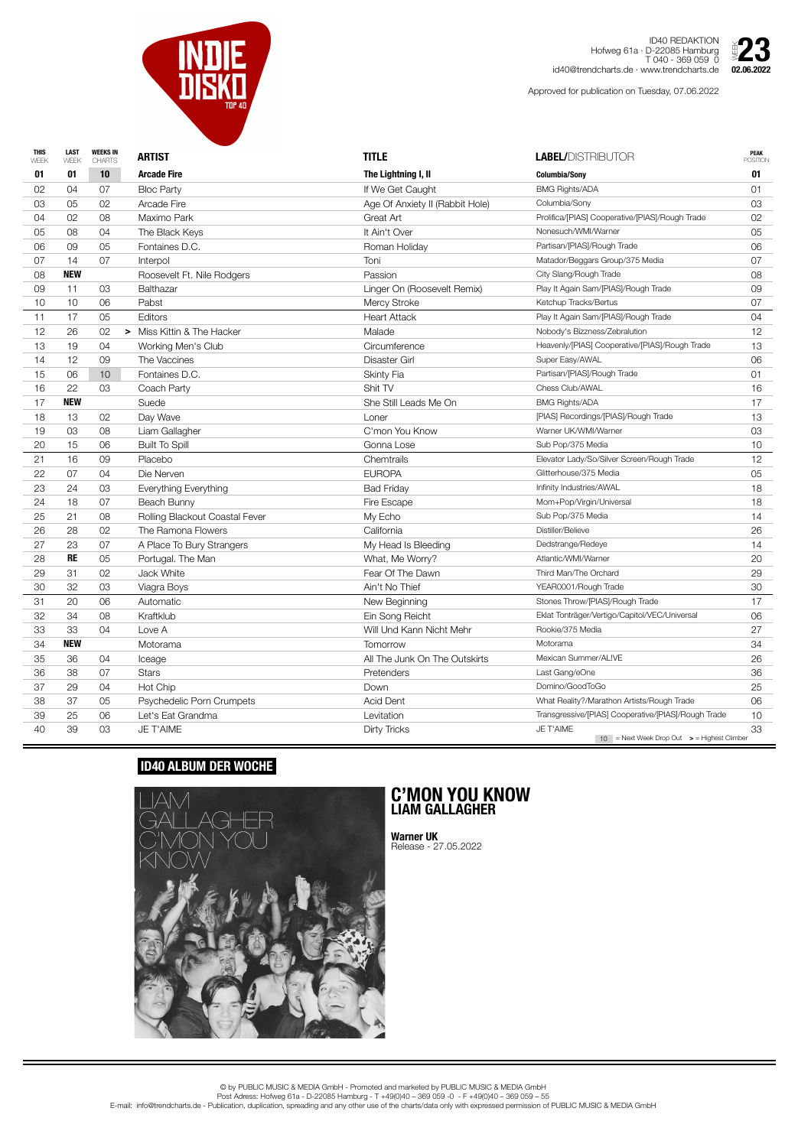| <b>THIS</b><br>WEEK | <b>LAST</b><br>WEEK | <b>WEEKS IN</b><br><b>CHARTS</b> | <b>ARTIST</b>                  | <b>TITLE</b>                    | <b>LABEL/DISTRIBUTOR</b>                            | <b>PEAK</b><br><b>POSITION</b> |
|---------------------|---------------------|----------------------------------|--------------------------------|---------------------------------|-----------------------------------------------------|--------------------------------|
| 01                  | 01                  | 10                               | <b>Arcade Fire</b>             | The Lightning I, II             | <b>Columbia/Sony</b>                                | 01                             |
| 02                  | 04                  | 07                               | <b>Bloc Party</b>              | If We Get Caught                | <b>BMG Rights/ADA</b>                               | 01                             |
| 03                  | 05                  | 02                               | <b>Arcade Fire</b>             | Age Of Anxiety II (Rabbit Hole) | Columbia/Sony                                       | 03                             |
| 04                  | 02                  | 08                               | Maximo Park                    | Great Art                       | Prolifica/[PIAS] Cooperative/[PIAS]/Rough Trade     | 02                             |
| 05                  | 08                  | 04                               | The Black Keys                 | It Ain't Over                   | Nonesuch/WMI/Warner                                 | 05                             |
| 06                  | 09                  | 05                               | Fontaines D.C.                 | Roman Holiday                   | Partisan/[PIAS]/Rough Trade                         | 06                             |
| 07                  | 14                  | 07                               | Interpol                       | Toni                            | Matador/Beggars Group/375 Media                     | 07                             |
| 08                  | <b>NEW</b>          |                                  | Roosevelt Ft. Nile Rodgers     | Passion                         | City Slang/Rough Trade                              | 08                             |
| 09                  | 11                  | 03                               | Balthazar                      | Linger On (Roosevelt Remix)     | Play It Again Sam/[PIAS]/Rough Trade                | 09                             |
| 10                  | 10                  | 06                               | Pabst                          | Mercy Stroke                    | Ketchup Tracks/Bertus                               | 07                             |
| 11                  | 17                  | 05                               | <b>Editors</b>                 | <b>Heart Attack</b>             | Play It Again Sam/[PIAS]/Rough Trade                | 04                             |
| 12                  | 26                  | 02                               | Miss Kittin & The Hacker<br>➤  | Malade                          | Nobody's Bizzness/Zebralution                       | 12                             |
| 13                  | 19                  | 04                               | Working Men's Club             | Circumference                   | Heavenly/[PIAS] Cooperative/[PIAS]/Rough Trade      | 13                             |
| 14                  | 12                  | 09                               | The Vaccines                   | <b>Disaster Girl</b>            | Super Easy/AWAL                                     | 06                             |
| 15                  | 06                  | 10                               | Fontaines D.C.                 | <b>Skinty Fia</b>               | Partisan/[PIAS]/Rough Trade                         | 01                             |
| 16                  | 22                  | 03                               | Coach Party                    | Shit TV                         | Chess Club/AWAL                                     | 16                             |
| 17                  | <b>NEW</b>          |                                  | Suede                          | She Still Leads Me On           | <b>BMG Rights/ADA</b>                               | 17                             |
| 18                  | 13                  | 02                               | Day Wave                       | Loner                           | [PIAS] Recordings/[PIAS]/Rough Trade                | 13                             |
| 19                  | 03                  | 08                               | Liam Gallagher                 | C'mon You Know                  | Warner UK/WMI/Warner                                | 03                             |
| 20                  | 15                  | 06                               | <b>Built To Spill</b>          | Gonna Lose                      | Sub Pop/375 Media                                   | 10                             |
| 21                  | 16                  | 09                               | Placebo                        | Chemtrails                      | Elevator Lady/So/Silver Screen/Rough Trade          | 12                             |
| 22                  | 07                  | 04                               | Die Nerven                     | <b>EUROPA</b>                   | Glitterhouse/375 Media                              | 05                             |
| 23                  | 24                  | 03                               | Everything Everything          | <b>Bad Friday</b>               | Infinity Industries/AWAL                            | 18                             |
| 24                  | 18                  | 07                               | Beach Bunny                    | Fire Escape                     | Mom+Pop/Virgin/Universal                            | 18                             |
| 25                  | 21                  | 08                               | Rolling Blackout Coastal Fever | My Echo                         | Sub Pop/375 Media                                   | 14                             |
| 26                  | 28                  | 02                               | The Ramona Flowers             | California                      | Distiller/Believe                                   | 26                             |
| 27                  | 23                  | 07                               | A Place To Bury Strangers      | My Head Is Bleeding             | Dedstrange/Redeye                                   | 14                             |
| 28                  | <b>RE</b>           | 05                               | Portugal. The Man              | What, Me Worry?                 | Atlantic/WMI/Warner                                 | 20                             |
| 29                  | 31                  | 02                               | Jack White                     | Fear Of The Dawn                | Third Man/The Orchard                               | 29                             |
| $30\,$              | 32                  | 03                               | Viagra Boys                    | Ain't No Thief                  | YEAR0001/Rough Trade                                | 30                             |
| 31                  | 20                  | 06                               | Automatic                      | New Beginning                   | Stones Throw/[PIAS]/Rough Trade                     | 17                             |
| 32                  | 34                  | 08                               | Kraftklub                      | Ein Song Reicht                 | Eklat Tonträger/Vertigo/Capitol/VEC/Universal       | 06                             |
| 33                  | 33                  | 04                               | Love A                         | Will Und Kann Nicht Mehr        | Rookie/375 Media                                    | 27                             |
| 34                  | <b>NEW</b>          |                                  | Motorama                       | Tomorrow                        | Motorama                                            | 34                             |
| 35                  | 36                  | 04                               | Iceage                         | All The Junk On The Outskirts   | Mexican Summer/AL!VE                                | 26                             |
| 36                  | 38                  | 07                               | <b>Stars</b>                   | Pretenders                      | Last Gang/eOne                                      | 36                             |
| 37                  | 29                  | 04                               | Hot Chip                       | Down                            | Domino/GoodToGo                                     | 25                             |
| 38                  | 37                  | 05                               | Psychedelic Porn Crumpets      | <b>Acid Dent</b>                | What Reality?/Marathon Artists/Rough Trade          | 06                             |
| 39                  | 25                  | 06                               | Let's Eat Grandma              | Levitation                      | Transgressive/[PIAS] Cooperative/[PIAS]/Rough Trade | 10                             |
| 40                  | 39                  | 03                               | JE T'AIME                      | Dirty Tricks                    | JE T'AIME                                           | 33                             |



ID40 REDAKTION Hofweg 61a · D-22085 Hamburg T 040 - 369 059 0 id40@trendcharts.de · www.trendcharts.de

Approved for publication on Tuesday, 07.06.2022



## **ID40 ALBUM DER WOCHE**



## **C'MON YOU KNOW LIAM GALLAGHER**

**Warner UK** Release - 27.05.2022